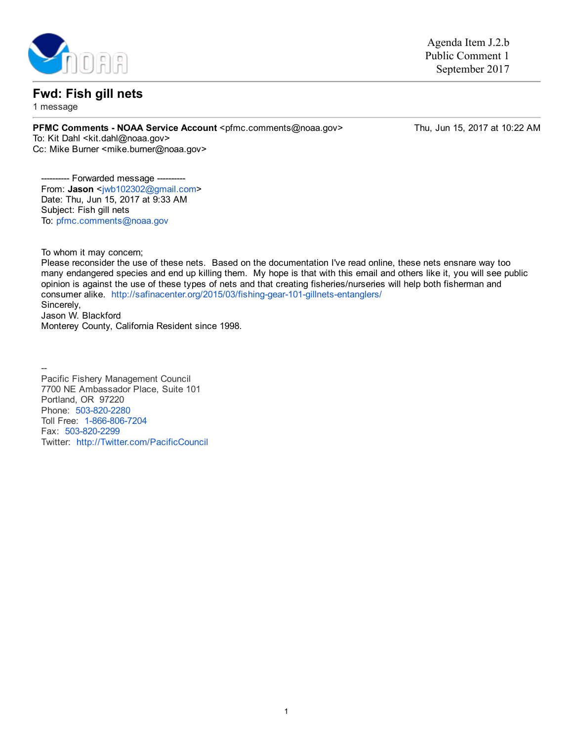

## Fwd: Fish gill nets

1 message

PFMC Comments - NOAA Service Account <pfmc.comments@noaa.gov>
Thu, Jun 15, 2017 at 10:22 AM

To: Kit Dahl <kit.dahl@noaa.gov> Cc: Mike Burner <mike.burner@noaa.gov>

Agenda Item J.2.b Public Comment 1 September 2017

-- Forwarded message -From: Jason [<jwb102302@gmail.com>](mailto:jwb102302@gmail.com) Date: Thu, Jun 15, 2017 at 9:33 AM Subject: Fish gill nets To: [pfmc.comments@noaa.gov](mailto:pfmc.comments@noaa.gov)

To whom it may concern;

Please reconsider the use of these nets. Based on the documentation I've read online, these nets ensnare way too many endangered species and end up killing them. My hope is that with this email and others like it, you will see public opinion is against the use of these types of nets and that creating fisheries/nurseries will help both fisherman and consumer alike. http://safinacenter.org/2015/03/fishing-gear-101-gillnets-entanglers/ Sincerely, Jason W. Blackford Monterey County, California Resident since 1998.

н. Pacific Fishery Management Council 7700 NE Ambassador Place, Suite 101 Portland, OR 97220 Phone: 503-820-2280 Toll Free: 1-866-806-7204 Fax: 503-820-2299 Twitter: [http://Twitter.com/PacificCouncil](http://twitter.com/PacificCouncil)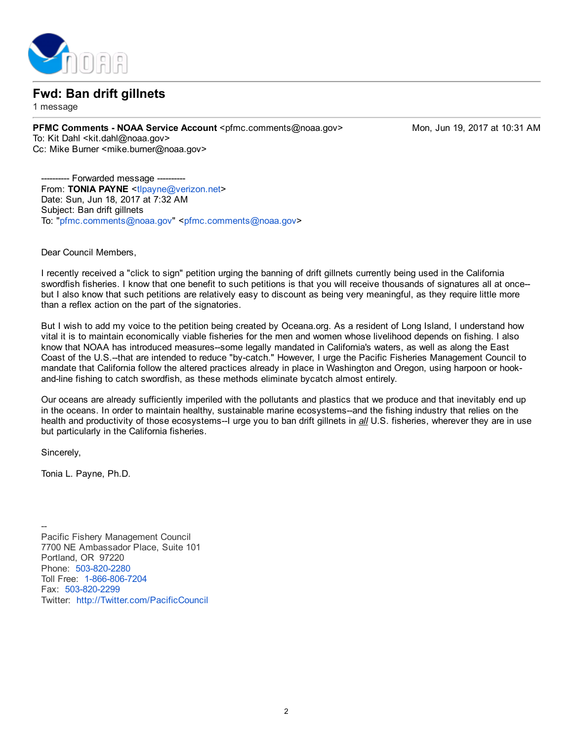

## Fwd: Ban drift gillnets

1 message

PFMC Comments - NOAA Service Account <pfmc.comments@noaa.gov> Mon, Jun 19, 2017 at 10:31 AM To: Kit Dahl <kit.dahl@noaa.gov> Cc: Mike Burner <mike.burner@noaa.gov>

- Forwarded message From: TONIA PAYNE <[tlpayne@verizon.net>](mailto:tlpayne@verizon.net) Date: Sun, Jun 18, 2017 at 7:32 AM Subject: Ban drift gillnets To: "[pfmc.comments@noaa.gov](mailto:pfmc.comments@noaa.gov)" <pfmc.comments@noaa.gov>

Dear Council Members,

I recently received a "click to sign" petition urging the banning of drift gillnets currently being used in the California swordfish fisheries. I know that one benefit to such petitions is that you will receive thousands of signatures all at once but I also know that such petitions are relatively easy to discount as being very meaningful, as they require little more than a reflex action on the part of the signatories.

But I wish to add my voice to the petition being created by Oceana.org. As a resident of Long Island, I understand how vital it is to maintain economically viable fisheries for the men and women whose livelihood depends on fishing. I also know that NOAA has introduced measures-some legally mandated in California's waters, as well as along the East Coast of the U.S.--that are intended to reduce "by-catch." However, I urge the Pacific Fisheries Management Council to mandate that California follow the altered practices already in place in Washington and Oregon, using harpoon or hookand-line fishing to catch swordfish, as these methods eliminate bycatch almost entirely.

Our oceans are already sufficiently imperiled with the pollutants and plastics that we produce and that inevitably end up in the oceans. In order to maintain healthy, sustainable marine ecosystems-and the fishing industry that relies on the health and productivity of those ecosystems-I urge you to ban drift gillnets in all U.S. fisheries, wherever they are in use but particularly in the California fisheries.

Sincerely,

Tonia L. Payne, Ph.D.

 $\overline{\phantom{0}}$ Pacific Fishery Management Council 7700 NE Ambassador Place, Suite 101 Portland, OR 97220 Phone: 503-820-2280 Toll Free: 1-866-806-7204 Fax: 503-820-2299 Twitter: [http://Twitter.com/PacificCouncil](http://twitter.com/PacificCouncil)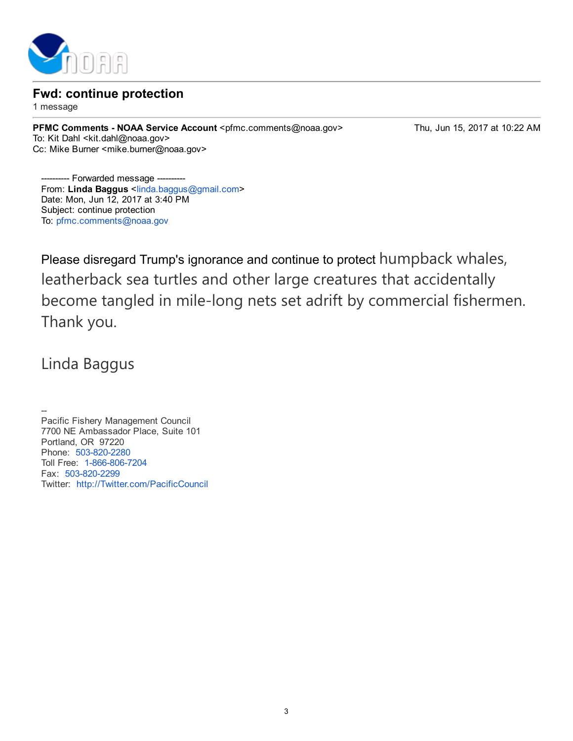

Fwd: continue protection

1 message

PFMC Comments - NOAA Service Account <pfmc.comments@noaa.gov>
Thu, Jun 15, 2017 at 10:22 AM To: Kit Dahl <kit.dahl@noaa.gov> Cc: Mike Burner <mike.burner@noaa.gov>

-- Forwarded message From: Linda Baggus <[linda.baggus@gmail.com>](mailto:linda.baggus@gmail.com) Date: Mon, Jun 12, 2017 at 3:40 PM Subject: continue protection To: [pfmc.comments@noaa.gov](mailto:pfmc.comments@noaa.gov)

Please disregard Trump's ignorance and continue to protect humpback whales, leatherback sea turtles and other large creatures that accidentally become tangled in mile‐long nets set adrift by commercial fishermen. Thank you.

Linda Baggus

н. Pacific Fishery Management Council 7700 NE Ambassador Place, Suite 101 Portland, OR 97220 Phone: 503-820-2280 Toll Free: 1-866-806-7204 Fax: 503-820-2299 Twitter: [http://Twitter.com/PacificCouncil](http://twitter.com/PacificCouncil)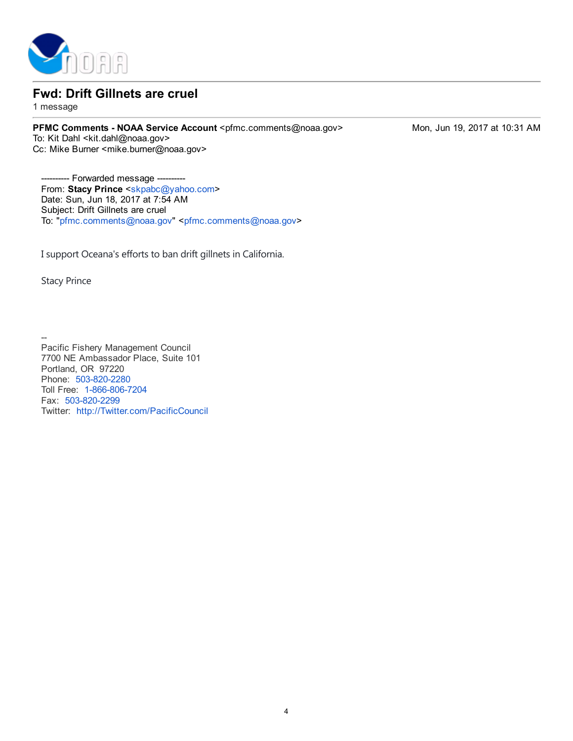

## Fwd: Drift Gillnets are cruel

1 message

PFMC Comments - NOAA Service Account <pfmc.comments@noaa.gov> Mon, Jun 19, 2017 at 10:31 AM To: Kit Dahl <kit.dahl@noaa.gov> Cc: Mike Burner <mike.burner@noaa.gov>

-- Forwarded message From: Stacy Prince <[skpabc@yahoo.com>](mailto:skpabc@yahoo.com) Date: Sun, Jun 18, 2017 at 7:54 AM Subject: Drift Gillnets are cruel To: "[pfmc.comments@noaa.gov](mailto:pfmc.comments@noaa.gov)" <pfmc.comments@noaa.gov>

I support Oceana's efforts to ban drift gillnets in California.

Stacy Prince

н. Pacific Fishery Management Council 7700 NE Ambassador Place, Suite 101 Portland, OR 97220 Phone: 503-820-2280 Toll Free: 1-866-806-7204 Fax: 503-820-2299 Twitter: [http://Twitter.com/PacificCouncil](http://twitter.com/PacificCouncil)